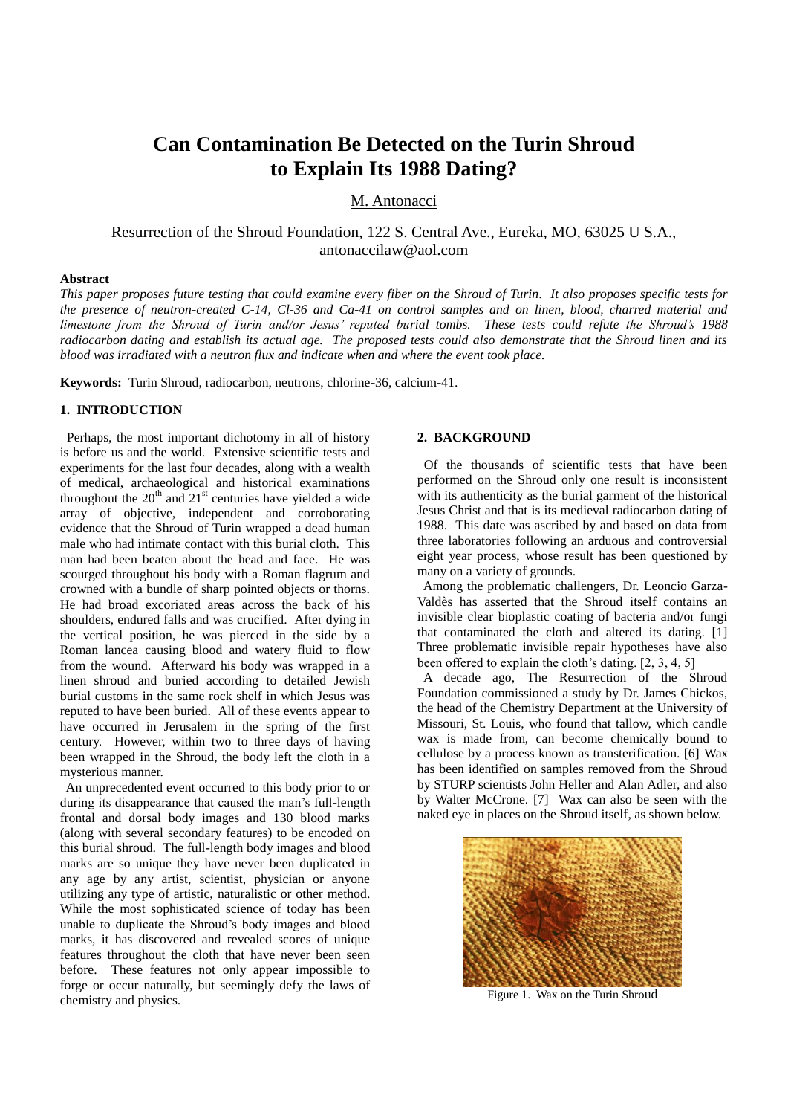# **Can Contamination Be Detected on the Turin Shroud to Explain Its 1988 Dating?**

M. Antonacci

Resurrection of the Shroud Foundation, 122 S. Central Ave., Eureka, MO, 63025 U S.A., antonaccilaw@aol.com

#### **Abstract**

*This paper proposes future testing that could examine every fiber on the Shroud of Turin. It also proposes specific tests for the presence of neutron-created C-14, Cl-36 and Ca-41 on control samples and on linen, blood, charred material and limestone from the Shroud of Turin and/or Jesus' reputed burial tombs. These tests could refute the Shroud's 1988 radiocarbon dating and establish its actual age. The proposed tests could also demonstrate that the Shroud linen and its blood was irradiated with a neutron flux and indicate when and where the event took place.*

**Keywords:** Turin Shroud, radiocarbon, neutrons, chlorine-36, calcium-41.

### **1. INTRODUCTION**

 Perhaps, the most important dichotomy in all of history is before us and the world. Extensive scientific tests and experiments for the last four decades, along with a wealth of medical, archaeological and historical examinations throughout the  $20<sup>th</sup>$  and  $21<sup>st</sup>$  centuries have yielded a wide array of objective, independent and corroborating evidence that the Shroud of Turin wrapped a dead human male who had intimate contact with this burial cloth. This man had been beaten about the head and face. He was scourged throughout his body with a Roman flagrum and crowned with a bundle of sharp pointed objects or thorns. He had broad excoriated areas across the back of his shoulders, endured falls and was crucified. After dying in the vertical position, he was pierced in the side by a Roman lancea causing blood and watery fluid to flow from the wound. Afterward his body was wrapped in a linen shroud and buried according to detailed Jewish burial customs in the same rock shelf in which Jesus was reputed to have been buried. All of these events appear to have occurred in Jerusalem in the spring of the first century. However, within two to three days of having been wrapped in the Shroud, the body left the cloth in a mysterious manner.

 An unprecedented event occurred to this body prior to or during its disappearance that caused the man's full-length frontal and dorsal body images and 130 blood marks (along with several secondary features) to be encoded on this burial shroud. The full-length body images and blood marks are so unique they have never been duplicated in any age by any artist, scientist, physician or anyone utilizing any type of artistic, naturalistic or other method. While the most sophisticated science of today has been unable to duplicate the Shroud's body images and blood marks, it has discovered and revealed scores of unique features throughout the cloth that have never been seen before. These features not only appear impossible to forge or occur naturally, but seemingly defy the laws of chemistry and physics.

#### **2. BACKGROUND**

 Of the thousands of scientific tests that have been performed on the Shroud only one result is inconsistent with its authenticity as the burial garment of the historical Jesus Christ and that is its medieval radiocarbon dating of 1988. This date was ascribed by and based on data from three laboratories following an arduous and controversial eight year process, whose result has been questioned by many on a variety of grounds.

 Among the problematic challengers, Dr. Leoncio Garza-Valdès has asserted that the Shroud itself contains an invisible clear bioplastic coating of bacteria and/or fungi that contaminated the cloth and altered its dating. [1] Three problematic invisible repair hypotheses have also been offered to explain the cloth's dating. [2, 3, 4, 5]

 A decade ago, The Resurrection of the Shroud Foundation commissioned a study by Dr. James Chickos, the head of the Chemistry Department at the University of Missouri, St. Louis, who found that tallow, which candle wax is made from, can become chemically bound to cellulose by a process known as transterification. [6] Wax has been identified on samples removed from the Shroud by STURP scientists John Heller and Alan Adler, and also by Walter McCrone. [7] Wax can also be seen with the naked eye in places on the Shroud itself, as shown below.



Figure 1. Wax on the Turin Shroud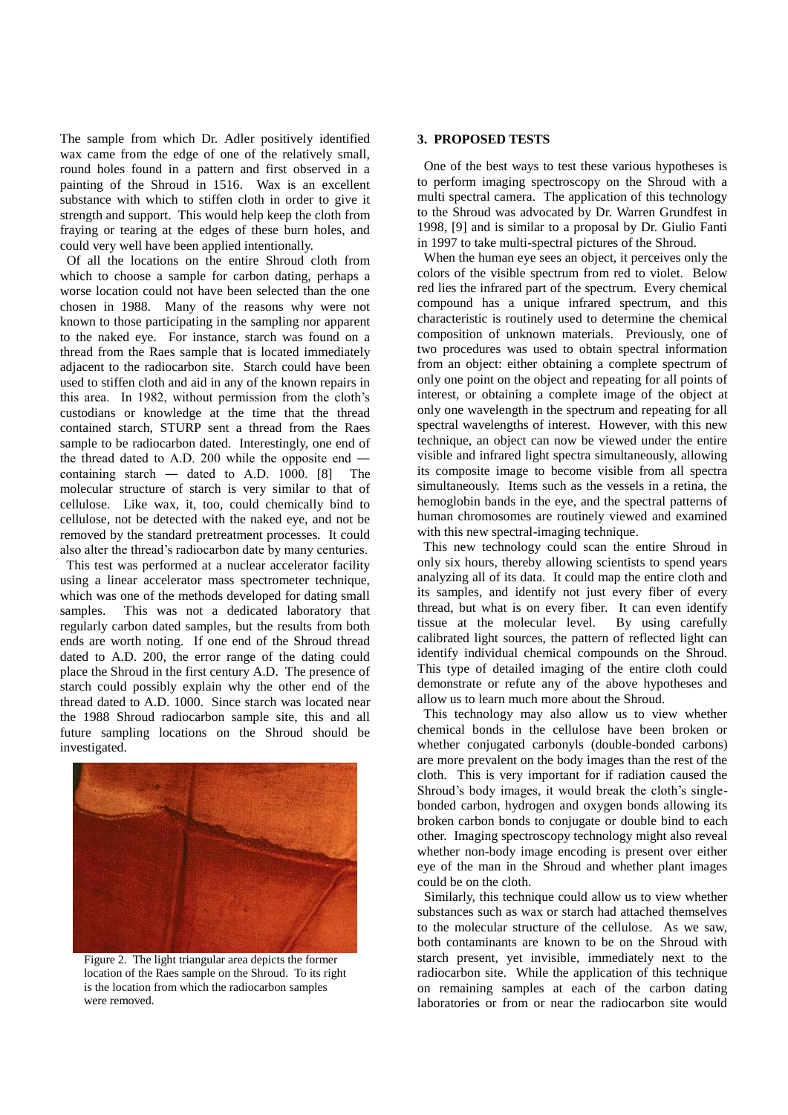The sample from which Dr. Adler positively identified wax came from the edge of one of the relatively small, round holes found in a pattern and first observed in a painting of the Shroud in 1516. Wax is an excellent substance with which to stiffen cloth in order to give it strength and support. This would help keep the cloth from fraying or tearing at the edges of these burn holes, and could very well have been applied intentionally.

 Of all the locations on the entire Shroud cloth from which to choose a sample for carbon dating, perhaps a worse location could not have been selected than the one chosen in 1988. Many of the reasons why were not known to those participating in the sampling nor apparent to the naked eye. For instance, starch was found on a thread from the Raes sample that is located immediately adjacent to the radiocarbon site. Starch could have been used to stiffen cloth and aid in any of the known repairs in this area. In 1982, without permission from the cloth's custodians or knowledge at the time that the thread contained starch, STURP sent a thread from the Raes sample to be radiocarbon dated. Interestingly, one end of the thread dated to A.D. 200 while the opposite end ― containing starch — dated to A.D.  $1000$ . [8] The molecular structure of starch is very similar to that of cellulose. Like wax, it, too, could chemically bind to cellulose, not be detected with the naked eye, and not be removed by the standard pretreatment processes. It could also alter the thread's radiocarbon date by many centuries.

 This test was performed at a nuclear accelerator facility using a linear accelerator mass spectrometer technique, which was one of the methods developed for dating small samples. This was not a dedicated laboratory that regularly carbon dated samples, but the results from both ends are worth noting. If one end of the Shroud thread dated to A.D. 200, the error range of the dating could place the Shroud in the first century A.D. The presence of starch could possibly explain why the other end of the thread dated to A.D. 1000. Since starch was located near the 1988 Shroud radiocarbon sample site, this and all future sampling locations on the Shroud should be investigated.



 Figure 2. The light triangular area depicts the former location of the Raes sample on the Shroud. To its right is the location from which the radiocarbon samples were removed.

# **3. PROPOSED TESTS**

 One of the best ways to test these various hypotheses is to perform imaging spectroscopy on the Shroud with a multi spectral camera. The application of this technology to the Shroud was advocated by Dr. Warren Grundfest in 1998, [9] and is similar to a proposal by Dr. Giulio Fanti in 1997 to take multi-spectral pictures of the Shroud.

 When the human eye sees an object, it perceives only the colors of the visible spectrum from red to violet. Below red lies the infrared part of the spectrum. Every chemical compound has a unique infrared spectrum, and this characteristic is routinely used to determine the chemical composition of unknown materials. Previously, one of two procedures was used to obtain spectral information from an object: either obtaining a complete spectrum of only one point on the object and repeating for all points of interest, or obtaining a complete image of the object at only one wavelength in the spectrum and repeating for all spectral wavelengths of interest. However, with this new technique, an object can now be viewed under the entire visible and infrared light spectra simultaneously, allowing its composite image to become visible from all spectra simultaneously. Items such as the vessels in a retina, the hemoglobin bands in the eye, and the spectral patterns of human chromosomes are routinely viewed and examined with this new spectral-imaging technique.

 This new technology could scan the entire Shroud in only six hours, thereby allowing scientists to spend years analyzing all of its data. It could map the entire cloth and its samples, and identify not just every fiber of every thread, but what is on every fiber. It can even identify tissue at the molecular level. By using carefully calibrated light sources, the pattern of reflected light can identify individual chemical compounds on the Shroud. This type of detailed imaging of the entire cloth could demonstrate or refute any of the above hypotheses and allow us to learn much more about the Shroud.

 This technology may also allow us to view whether chemical bonds in the cellulose have been broken or whether conjugated carbonyls (double-bonded carbons) are more prevalent on the body images than the rest of the cloth. This is very important for if radiation caused the Shroud's body images, it would break the cloth's singlebonded carbon, hydrogen and oxygen bonds allowing its broken carbon bonds to conjugate or double bind to each other. Imaging spectroscopy technology might also reveal whether non-body image encoding is present over either eye of the man in the Shroud and whether plant images could be on the cloth.

 Similarly, this technique could allow us to view whether substances such as wax or starch had attached themselves to the molecular structure of the cellulose. As we saw, both contaminants are known to be on the Shroud with starch present, yet invisible, immediately next to the radiocarbon site. While the application of this technique on remaining samples at each of the carbon dating laboratories or from or near the radiocarbon site would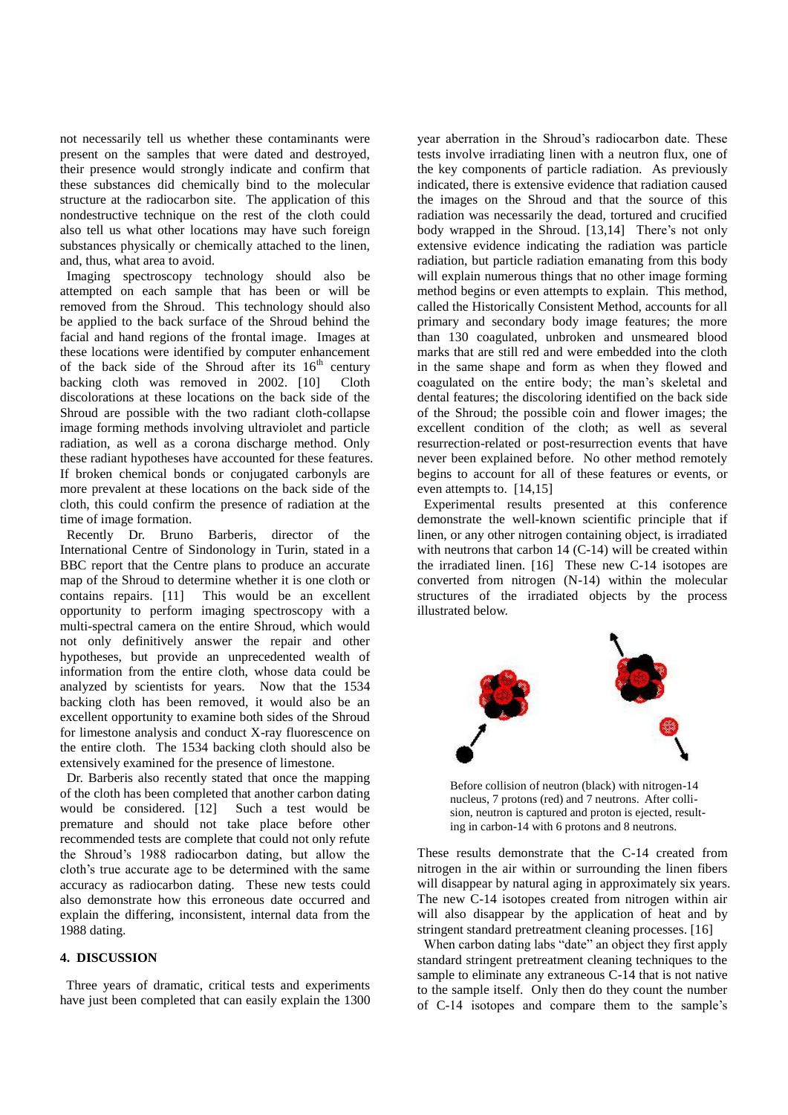not necessarily tell us whether these contaminants were present on the samples that were dated and destroyed, their presence would strongly indicate and confirm that these substances did chemically bind to the molecular structure at the radiocarbon site. The application of this nondestructive technique on the rest of the cloth could also tell us what other locations may have such foreign substances physically or chemically attached to the linen, and, thus, what area to avoid.

 Imaging spectroscopy technology should also be attempted on each sample that has been or will be removed from the Shroud. This technology should also be applied to the back surface of the Shroud behind the facial and hand regions of the frontal image. Images at these locations were identified by computer enhancement of the back side of the Shroud after its  $16<sup>th</sup>$  century backing cloth was removed in 2002. [10] Cloth discolorations at these locations on the back side of the Shroud are possible with the two radiant cloth-collapse image forming methods involving ultraviolet and particle radiation, as well as a corona discharge method. Only these radiant hypotheses have accounted for these features. If broken chemical bonds or conjugated carbonyls are more prevalent at these locations on the back side of the cloth, this could confirm the presence of radiation at the time of image formation.

 Recently Dr. Bruno Barberis, director of the International Centre of Sindonology in Turin, stated in a BBC report that the Centre plans to produce an accurate map of the Shroud to determine whether it is one cloth or contains repairs. [11] This would be an excellent opportunity to perform imaging spectroscopy with a multi-spectral camera on the entire Shroud, which would not only definitively answer the repair and other hypotheses, but provide an unprecedented wealth of information from the entire cloth, whose data could be analyzed by scientists for years. Now that the 1534 backing cloth has been removed, it would also be an excellent opportunity to examine both sides of the Shroud for limestone analysis and conduct X-ray fluorescence on the entire cloth. The 1534 backing cloth should also be extensively examined for the presence of limestone.

 Dr. Barberis also recently stated that once the mapping of the cloth has been completed that another carbon dating would be considered. [12] Such a test would be premature and should not take place before other recommended tests are complete that could not only refute the Shroud's 1988 radiocarbon dating, but allow the cloth's true accurate age to be determined with the same accuracy as radiocarbon dating. These new tests could also demonstrate how this erroneous date occurred and explain the differing, inconsistent, internal data from the 1988 dating.

#### **4. DISCUSSION**

 Three years of dramatic, critical tests and experiments have just been completed that can easily explain the 1300 year aberration in the Shroud's radiocarbon date. These tests involve irradiating linen with a neutron flux, one of the key components of particle radiation. As previously indicated, there is extensive evidence that radiation caused the images on the Shroud and that the source of this radiation was necessarily the dead, tortured and crucified body wrapped in the Shroud. [13,14] There's not only extensive evidence indicating the radiation was particle radiation, but particle radiation emanating from this body will explain numerous things that no other image forming method begins or even attempts to explain. This method, called the Historically Consistent Method, accounts for all primary and secondary body image features; the more than 130 coagulated, unbroken and unsmeared blood marks that are still red and were embedded into the cloth in the same shape and form as when they flowed and coagulated on the entire body; the man's skeletal and dental features; the discoloring identified on the back side of the Shroud; the possible coin and flower images; the excellent condition of the cloth; as well as several resurrection-related or post-resurrection events that have never been explained before. No other method remotely begins to account for all of these features or events, or even attempts to. [14,15]

 Experimental results presented at this conference demonstrate the well-known scientific principle that if linen, or any other nitrogen containing object, is irradiated with neutrons that carbon 14 (C-14) will be created within the irradiated linen. [16] These new C-14 isotopes are converted from nitrogen (N-14) within the molecular structures of the irradiated objects by the process illustrated below.



 Before collision of neutron (black) with nitrogen-14 nucleus, 7 protons (red) and 7 neutrons. After colli sion, neutron is captured and proton is ejected, result ing in carbon-14 with 6 protons and 8 neutrons.

These results demonstrate that the C-14 created from nitrogen in the air within or surrounding the linen fibers will disappear by natural aging in approximately six years. The new C-14 isotopes created from nitrogen within air will also disappear by the application of heat and by stringent standard pretreatment cleaning processes. [16]

 When carbon dating labs "date" an object they first apply standard stringent pretreatment cleaning techniques to the sample to eliminate any extraneous C-14 that is not native to the sample itself. Only then do they count the number of C-14 isotopes and compare them to the sample's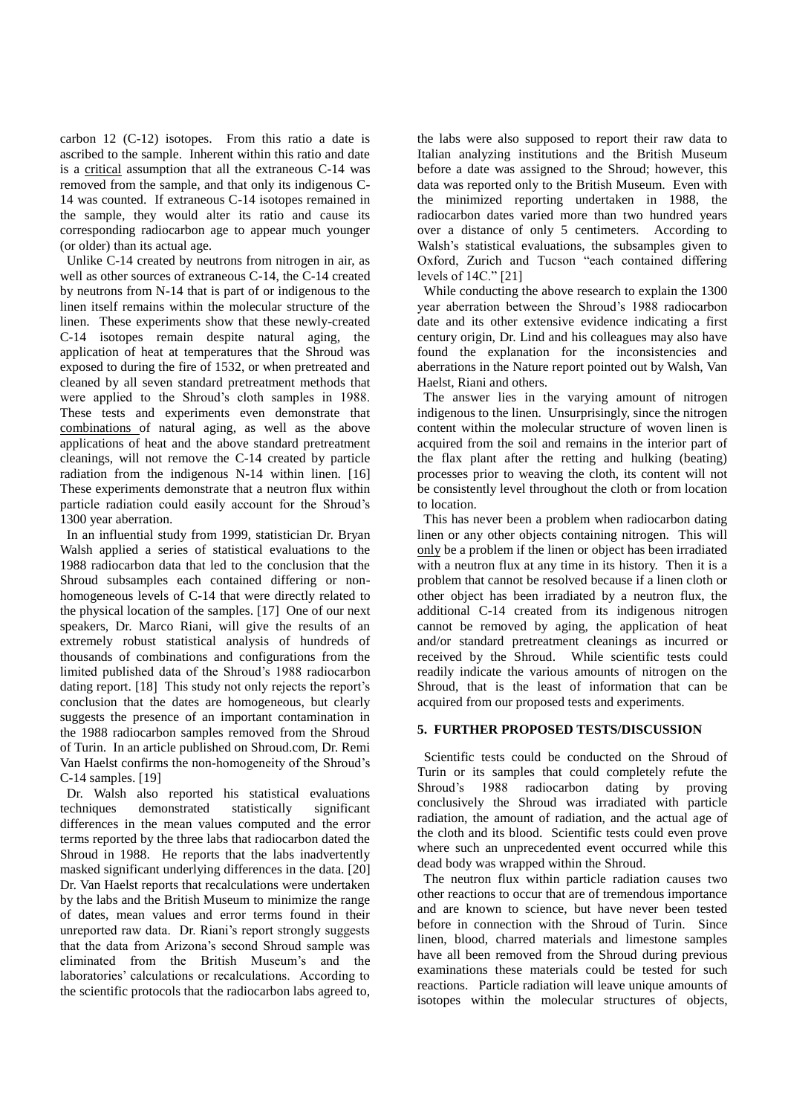carbon 12 (C-12) isotopes. From this ratio a date is ascribed to the sample. Inherent within this ratio and date is a critical assumption that all the extraneous C-14 was removed from the sample, and that only its indigenous C-14 was counted. If extraneous C-14 isotopes remained in the sample, they would alter its ratio and cause its corresponding radiocarbon age to appear much younger (or older) than its actual age.

 Unlike C-14 created by neutrons from nitrogen in air, as well as other sources of extraneous C-14, the C-14 created by neutrons from N-14 that is part of or indigenous to the linen itself remains within the molecular structure of the linen. These experiments show that these newly-created C-14 isotopes remain despite natural aging, the application of heat at temperatures that the Shroud was exposed to during the fire of 1532, or when pretreated and cleaned by all seven standard pretreatment methods that were applied to the Shroud's cloth samples in 1988. These tests and experiments even demonstrate that combinations of natural aging, as well as the above applications of heat and the above standard pretreatment cleanings, will not remove the C-14 created by particle radiation from the indigenous N-14 within linen. [16] These experiments demonstrate that a neutron flux within particle radiation could easily account for the Shroud's 1300 year aberration.

 In an influential study from 1999, statistician Dr. Bryan Walsh applied a series of statistical evaluations to the 1988 radiocarbon data that led to the conclusion that the Shroud subsamples each contained differing or nonhomogeneous levels of C-14 that were directly related to the physical location of the samples. [17] One of our next speakers, Dr. Marco Riani, will give the results of an extremely robust statistical analysis of hundreds of thousands of combinations and configurations from the limited published data of the Shroud's 1988 radiocarbon dating report. [18] This study not only rejects the report's conclusion that the dates are homogeneous, but clearly suggests the presence of an important contamination in the 1988 radiocarbon samples removed from the Shroud of Turin. In an article published on Shroud.com, Dr. Remi Van Haelst confirms the non-homogeneity of the Shroud's C-14 samples. [19]

 Dr. Walsh also reported his statistical evaluations techniques demonstrated statistically significant differences in the mean values computed and the error terms reported by the three labs that radiocarbon dated the Shroud in 1988. He reports that the labs inadvertently masked significant underlying differences in the data. [20] Dr. Van Haelst reports that recalculations were undertaken by the labs and the British Museum to minimize the range of dates, mean values and error terms found in their unreported raw data. Dr. Riani's report strongly suggests that the data from Arizona's second Shroud sample was eliminated from the British Museum's and the laboratories' calculations or recalculations. According to the scientific protocols that the radiocarbon labs agreed to,

the labs were also supposed to report their raw data to Italian analyzing institutions and the British Museum before a date was assigned to the Shroud; however, this data was reported only to the British Museum. Even with the minimized reporting undertaken in 1988, the radiocarbon dates varied more than two hundred years over a distance of only 5 centimeters. According to Walsh's statistical evaluations, the subsamples given to Oxford, Zurich and Tucson "each contained differing levels of 14C." [21]

 While conducting the above research to explain the 1300 year aberration between the Shroud's 1988 radiocarbon date and its other extensive evidence indicating a first century origin, Dr. Lind and his colleagues may also have found the explanation for the inconsistencies and aberrations in the Nature report pointed out by Walsh, Van Haelst, Riani and others.

 The answer lies in the varying amount of nitrogen indigenous to the linen. Unsurprisingly, since the nitrogen content within the molecular structure of woven linen is acquired from the soil and remains in the interior part of the flax plant after the retting and hulking (beating) processes prior to weaving the cloth, its content will not be consistently level throughout the cloth or from location to location.

 This has never been a problem when radiocarbon dating linen or any other objects containing nitrogen. This will only be a problem if the linen or object has been irradiated with a neutron flux at any time in its history. Then it is a problem that cannot be resolved because if a linen cloth or other object has been irradiated by a neutron flux, the additional C-14 created from its indigenous nitrogen cannot be removed by aging, the application of heat and/or standard pretreatment cleanings as incurred or received by the Shroud. While scientific tests could readily indicate the various amounts of nitrogen on the Shroud, that is the least of information that can be acquired from our proposed tests and experiments.

# **5. FURTHER PROPOSED TESTS/DISCUSSION**

 Scientific tests could be conducted on the Shroud of Turin or its samples that could completely refute the Shroud's 1988 radiocarbon dating by proving conclusively the Shroud was irradiated with particle radiation, the amount of radiation, and the actual age of the cloth and its blood. Scientific tests could even prove where such an unprecedented event occurred while this dead body was wrapped within the Shroud.

The neutron flux within particle radiation causes two other reactions to occur that are of tremendous importance and are known to science, but have never been tested before in connection with the Shroud of Turin. Since linen, blood, charred materials and limestone samples have all been removed from the Shroud during previous examinations these materials could be tested for such reactions. Particle radiation will leave unique amounts of isotopes within the molecular structures of objects,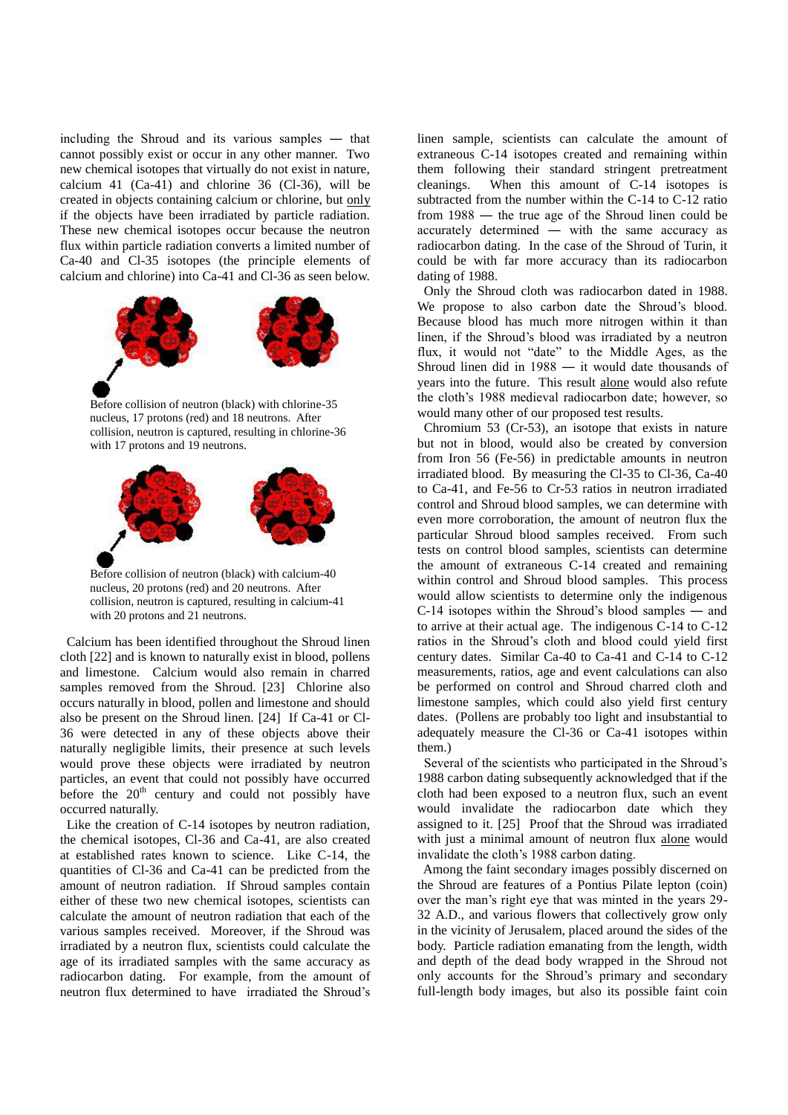including the Shroud and its various samples ― that cannot possibly exist or occur in any other manner. Two new chemical isotopes that virtually do not exist in nature, calcium 41 (Ca-41) and chlorine 36 (Cl-36), will be created in objects containing calcium or chlorine, but only if the objects have been irradiated by particle radiation. These new chemical isotopes occur because the neutron flux within particle radiation converts a limited number of Ca-40 and Cl-35 isotopes (the principle elements of calcium and chlorine) into Ca-41 and Cl-36 as seen below.



 Before collision of neutron (black) with chlorine-35 nucleus, 17 protons (red) and 18 neutrons. After collision, neutron is captured, resulting in chlorine-36 with 17 protons and 19 neutrons.



 Before collision of neutron (black) with calcium-40 nucleus, 20 protons (red) and 20 neutrons. After collision, neutron is captured, resulting in calcium-41 with 20 protons and 21 neutrons.

 Calcium has been identified throughout the Shroud linen cloth [22] and is known to naturally exist in blood, pollens and limestone. Calcium would also remain in charred samples removed from the Shroud. [23] Chlorine also occurs naturally in blood, pollen and limestone and should also be present on the Shroud linen. [24] If Ca-41 or Cl-36 were detected in any of these objects above their naturally negligible limits, their presence at such levels would prove these objects were irradiated by neutron particles, an event that could not possibly have occurred before the  $20<sup>th</sup>$  century and could not possibly have occurred naturally.

 Like the creation of C-14 isotopes by neutron radiation, the chemical isotopes, Cl-36 and Ca-41, are also created at established rates known to science. Like C-14, the quantities of Cl-36 and Ca-41 can be predicted from the amount of neutron radiation. If Shroud samples contain either of these two new chemical isotopes, scientists can calculate the amount of neutron radiation that each of the various samples received. Moreover, if the Shroud was irradiated by a neutron flux, scientists could calculate the age of its irradiated samples with the same accuracy as radiocarbon dating. For example, from the amount of neutron flux determined to have irradiated the Shroud's linen sample, scientists can calculate the amount of extraneous C-14 isotopes created and remaining within them following their standard stringent pretreatment cleanings. When this amount of C-14 isotopes is subtracted from the number within the C-14 to C-12 ratio from 1988 ― the true age of the Shroud linen could be accurately determined ― with the same accuracy as radiocarbon dating. In the case of the Shroud of Turin, it could be with far more accuracy than its radiocarbon dating of 1988.

 Only the Shroud cloth was radiocarbon dated in 1988. We propose to also carbon date the Shroud's blood. Because blood has much more nitrogen within it than linen, if the Shroud's blood was irradiated by a neutron flux, it would not "date" to the Middle Ages, as the Shroud linen did in 1988 ― it would date thousands of years into the future. This result alone would also refute the cloth's 1988 medieval radiocarbon date; however, so would many other of our proposed test results.

 Chromium 53 (Cr-53), an isotope that exists in nature but not in blood, would also be created by conversion from Iron 56 (Fe-56) in predictable amounts in neutron irradiated blood. By measuring the Cl-35 to Cl-36, Ca-40 to Ca-41, and Fe-56 to Cr-53 ratios in neutron irradiated control and Shroud blood samples, we can determine with even more corroboration, the amount of neutron flux the particular Shroud blood samples received. From such tests on control blood samples, scientists can determine the amount of extraneous C-14 created and remaining within control and Shroud blood samples. This process would allow scientists to determine only the indigenous C-14 isotopes within the Shroud's blood samples ― and to arrive at their actual age. The indigenous C-14 to C-12 ratios in the Shroud's cloth and blood could yield first century dates. Similar Ca-40 to Ca-41 and C-14 to C-12 measurements, ratios, age and event calculations can also be performed on control and Shroud charred cloth and limestone samples, which could also yield first century dates. (Pollens are probably too light and insubstantial to adequately measure the Cl-36 or Ca-41 isotopes within them.)

 Several of the scientists who participated in the Shroud's 1988 carbon dating subsequently acknowledged that if the cloth had been exposed to a neutron flux, such an event would invalidate the radiocarbon date which they assigned to it. [25] Proof that the Shroud was irradiated with just a minimal amount of neutron flux alone would invalidate the cloth's 1988 carbon dating.

 Among the faint secondary images possibly discerned on the Shroud are features of a Pontius Pilate lepton (coin) over the man's right eye that was minted in the years 29- 32 A.D., and various flowers that collectively grow only in the vicinity of Jerusalem, placed around the sides of the body. Particle radiation emanating from the length, width and depth of the dead body wrapped in the Shroud not only accounts for the Shroud's primary and secondary full-length body images, but also its possible faint coin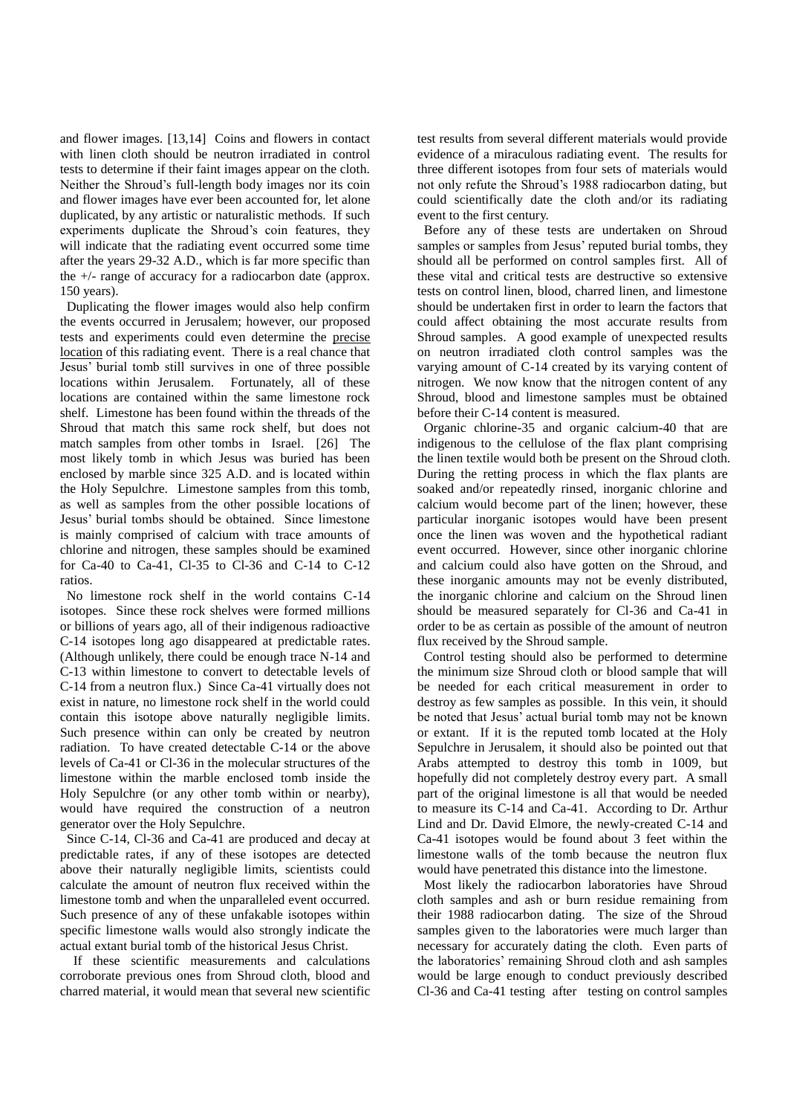and flower images. [13,14] Coins and flowers in contact with linen cloth should be neutron irradiated in control tests to determine if their faint images appear on the cloth. Neither the Shroud's full-length body images nor its coin and flower images have ever been accounted for, let alone duplicated, by any artistic or naturalistic methods. If such experiments duplicate the Shroud's coin features, they will indicate that the radiating event occurred some time after the years 29-32 A.D., which is far more specific than the +/- range of accuracy for a radiocarbon date (approx. 150 years).

 Duplicating the flower images would also help confirm the events occurred in Jerusalem; however, our proposed tests and experiments could even determine the precise location of this radiating event. There is a real chance that Jesus' burial tomb still survives in one of three possible locations within Jerusalem. Fortunately, all of these locations are contained within the same limestone rock shelf. Limestone has been found within the threads of the Shroud that match this same rock shelf, but does not match samples from other tombs in Israel. [26] The most likely tomb in which Jesus was buried has been enclosed by marble since 325 A.D. and is located within the Holy Sepulchre. Limestone samples from this tomb, as well as samples from the other possible locations of Jesus' burial tombs should be obtained. Since limestone is mainly comprised of calcium with trace amounts of chlorine and nitrogen, these samples should be examined for Ca-40 to Ca-41, Cl-35 to Cl-36 and C-14 to C-12 ratios.

 No limestone rock shelf in the world contains C-14 isotopes. Since these rock shelves were formed millions or billions of years ago, all of their indigenous radioactive C-14 isotopes long ago disappeared at predictable rates. (Although unlikely, there could be enough trace N-14 and C-13 within limestone to convert to detectable levels of C-14 from a neutron flux.) Since Ca-41 virtually does not exist in nature, no limestone rock shelf in the world could contain this isotope above naturally negligible limits. Such presence within can only be created by neutron radiation. To have created detectable C-14 or the above levels of Ca-41 or Cl-36 in the molecular structures of the limestone within the marble enclosed tomb inside the Holy Sepulchre (or any other tomb within or nearby), would have required the construction of a neutron generator over the Holy Sepulchre.

 Since C-14, Cl-36 and Ca-41 are produced and decay at predictable rates, if any of these isotopes are detected above their naturally negligible limits, scientists could calculate the amount of neutron flux received within the limestone tomb and when the unparalleled event occurred. Such presence of any of these unfakable isotopes within specific limestone walls would also strongly indicate the actual extant burial tomb of the historical Jesus Christ.

 If these scientific measurements and calculations corroborate previous ones from Shroud cloth, blood and charred material, it would mean that several new scientific

test results from several different materials would provide evidence of a miraculous radiating event. The results for three different isotopes from four sets of materials would not only refute the Shroud's 1988 radiocarbon dating, but could scientifically date the cloth and/or its radiating event to the first century.

 Before any of these tests are undertaken on Shroud samples or samples from Jesus' reputed burial tombs, they should all be performed on control samples first. All of these vital and critical tests are destructive so extensive tests on control linen, blood, charred linen, and limestone should be undertaken first in order to learn the factors that could affect obtaining the most accurate results from Shroud samples. A good example of unexpected results on neutron irradiated cloth control samples was the varying amount of C-14 created by its varying content of nitrogen. We now know that the nitrogen content of any Shroud, blood and limestone samples must be obtained before their C-14 content is measured.

 Organic chlorine-35 and organic calcium-40 that are indigenous to the cellulose of the flax plant comprising the linen textile would both be present on the Shroud cloth. During the retting process in which the flax plants are soaked and/or repeatedly rinsed, inorganic chlorine and calcium would become part of the linen; however, these particular inorganic isotopes would have been present once the linen was woven and the hypothetical radiant event occurred. However, since other inorganic chlorine and calcium could also have gotten on the Shroud, and these inorganic amounts may not be evenly distributed, the inorganic chlorine and calcium on the Shroud linen should be measured separately for Cl-36 and Ca-41 in order to be as certain as possible of the amount of neutron flux received by the Shroud sample.

 Control testing should also be performed to determine the minimum size Shroud cloth or blood sample that will be needed for each critical measurement in order to destroy as few samples as possible. In this vein, it should be noted that Jesus' actual burial tomb may not be known or extant. If it is the reputed tomb located at the Holy Sepulchre in Jerusalem, it should also be pointed out that Arabs attempted to destroy this tomb in 1009, but hopefully did not completely destroy every part. A small part of the original limestone is all that would be needed to measure its C-14 and Ca-41. According to Dr. Arthur Lind and Dr. David Elmore, the newly-created C-14 and Ca-41 isotopes would be found about 3 feet within the limestone walls of the tomb because the neutron flux would have penetrated this distance into the limestone.

 Most likely the radiocarbon laboratories have Shroud cloth samples and ash or burn residue remaining from their 1988 radiocarbon dating. The size of the Shroud samples given to the laboratories were much larger than necessary for accurately dating the cloth. Even parts of the laboratories' remaining Shroud cloth and ash samples would be large enough to conduct previously described Cl-36 and Ca-41 testing after testing on control samples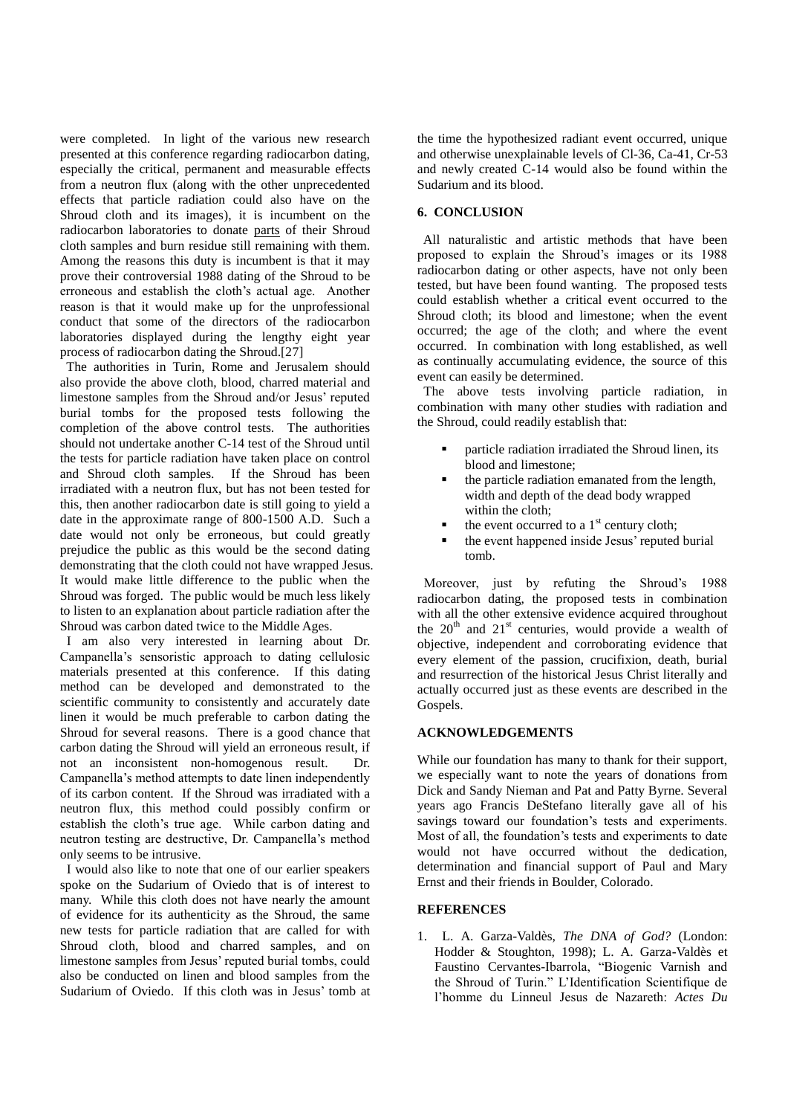were completed. In light of the various new research presented at this conference regarding radiocarbon dating, especially the critical, permanent and measurable effects from a neutron flux (along with the other unprecedented effects that particle radiation could also have on the Shroud cloth and its images), it is incumbent on the radiocarbon laboratories to donate parts of their Shroud cloth samples and burn residue still remaining with them. Among the reasons this duty is incumbent is that it may prove their controversial 1988 dating of the Shroud to be erroneous and establish the cloth's actual age. Another reason is that it would make up for the unprofessional conduct that some of the directors of the radiocarbon laboratories displayed during the lengthy eight year process of radiocarbon dating the Shroud.[27]

 The authorities in Turin, Rome and Jerusalem should also provide the above cloth, blood, charred material and limestone samples from the Shroud and/or Jesus' reputed burial tombs for the proposed tests following the completion of the above control tests. The authorities should not undertake another C-14 test of the Shroud until the tests for particle radiation have taken place on control and Shroud cloth samples. If the Shroud has been irradiated with a neutron flux, but has not been tested for this, then another radiocarbon date is still going to yield a date in the approximate range of 800-1500 A.D. Such a date would not only be erroneous, but could greatly prejudice the public as this would be the second dating demonstrating that the cloth could not have wrapped Jesus. It would make little difference to the public when the Shroud was forged. The public would be much less likely to listen to an explanation about particle radiation after the Shroud was carbon dated twice to the Middle Ages.

 I am also very interested in learning about Dr. Campanella's sensoristic approach to dating cellulosic materials presented at this conference. If this dating method can be developed and demonstrated to the scientific community to consistently and accurately date linen it would be much preferable to carbon dating the Shroud for several reasons. There is a good chance that carbon dating the Shroud will yield an erroneous result, if not an inconsistent non-homogenous result. Dr. Campanella's method attempts to date linen independently of its carbon content. If the Shroud was irradiated with a neutron flux, this method could possibly confirm or establish the cloth's true age. While carbon dating and neutron testing are destructive, Dr. Campanella's method only seems to be intrusive.

 I would also like to note that one of our earlier speakers spoke on the Sudarium of Oviedo that is of interest to many. While this cloth does not have nearly the amount of evidence for its authenticity as the Shroud, the same new tests for particle radiation that are called for with Shroud cloth, blood and charred samples, and on limestone samples from Jesus' reputed burial tombs, could also be conducted on linen and blood samples from the Sudarium of Oviedo. If this cloth was in Jesus' tomb at

the time the hypothesized radiant event occurred, unique and otherwise unexplainable levels of Cl-36, Ca-41, Cr-53 and newly created C-14 would also be found within the Sudarium and its blood.

## **6. CONCLUSION**

 All naturalistic and artistic methods that have been proposed to explain the Shroud's images or its 1988 radiocarbon dating or other aspects, have not only been tested, but have been found wanting. The proposed tests could establish whether a critical event occurred to the Shroud cloth; its blood and limestone; when the event occurred; the age of the cloth; and where the event occurred. In combination with long established, as well as continually accumulating evidence, the source of this event can easily be determined.

 The above tests involving particle radiation, in combination with many other studies with radiation and the Shroud, could readily establish that:

- particle radiation irradiated the Shroud linen, its blood and limestone;
- the particle radiation emanated from the length, width and depth of the dead body wrapped within the cloth;
- the event occurred to a  $1<sup>st</sup>$  century cloth;
- the event happened inside Jesus' reputed burial tomb.

 Moreover, just by refuting the Shroud's 1988 radiocarbon dating, the proposed tests in combination with all the other extensive evidence acquired throughout the  $20<sup>th</sup>$  and  $21<sup>st</sup>$  centuries, would provide a wealth of objective, independent and corroborating evidence that every element of the passion, crucifixion, death, burial and resurrection of the historical Jesus Christ literally and actually occurred just as these events are described in the Gospels.

# **ACKNOWLEDGEMENTS**

While our foundation has many to thank for their support, we especially want to note the years of donations from Dick and Sandy Nieman and Pat and Patty Byrne. Several years ago Francis DeStefano literally gave all of his savings toward our foundation's tests and experiments. Most of all, the foundation's tests and experiments to date would not have occurred without the dedication, determination and financial support of Paul and Mary Ernst and their friends in Boulder, Colorado.

# **REFERENCES**

1. L. A. Garza-Valdès, *The DNA of God?* (London: Hodder & Stoughton, 1998); L. A. Garza-Valdès et Faustino Cervantes-Ibarrola, "Biogenic Varnish and the Shroud of Turin." L'Identification Scientifique de l'homme du Linneul Jesus de Nazareth: *Actes Du*